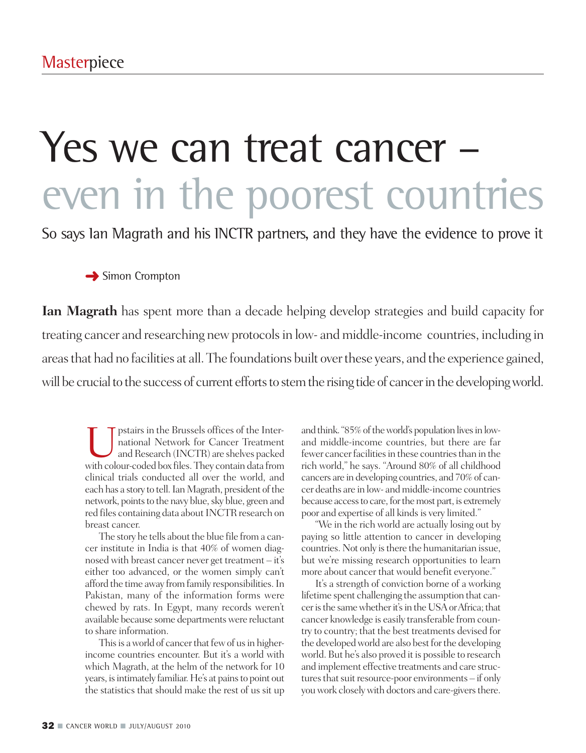# Yes we can treat cancer – even in the poorest countries

So says Ian Magrath and his INCTR partners, and they have the evidence to prove it

### **→** Simon Crompton

**Ian Magrath** has spent more than a decade helping develop strategies and build capacity for treating cancer and researching new protocols in low- and middle-income countries, including in areasthat had no facilities at all.The foundations built overthese years, and the experience gained, will be crucial to the success of current efforts to stem the rising tide of cancer in the developing world.

pstairs in the Brussels offices of the International Network for Cancer Treatment and Research (INCTR) are shelves packed with colour-coded box files.They contain data from clinical trials conducted all over the world, and each has a story to tell. Ian Magrath, president of the network, points to the navy blue, sky blue, green and red files containing data about INCTR research on breast cancer.

The story he tells about the blue file from a cancer institute in India is that 40% of women diagnosed with breast cancer never get treatment – it's either too advanced, or the women simply can't afford the time away from family responsibilities. In Pakistan, many of the information forms were chewed by rats. In Egypt, many records weren't available because some departmentswere reluctant to share information.

This is a world of cancer that few of us in higherincome countries encounter. But it's a world with which Magrath, at the helm of the network for 10 years, is intimately familiar. He's at pains to point out the statistics that should make the rest of us sit up and think. "85% of the world's population lives in lowand middle-income countries, but there are far fewer cancer facilities in these countries than in the rich world," he says. "Around 80% of all childhood cancers are in developing countries, and 70%of cancer deaths are in low- andmiddle-income countries because access to care, for the most part, is extremely poor and expertise of all kinds is very limited."

"We in the rich world are actually losing out by paying so little attention to cancer in developing countries. Not only is there the humanitarian issue, but we're missing research opportunities to learn more about cancer that would benefit everyone."

It's a strength of conviction borne of a working lifetime spent challenging the assumption that cancer is the same whether it's in the USA or Africa; that cancer knowledge is easily transferable from country to country; that the best treatments devised for the developed world are also best for the developing world. But he's also proved it is possible to research and implement effective treatments and care structures that suit resource-poor environments – if only you work closely with doctors and care-givers there.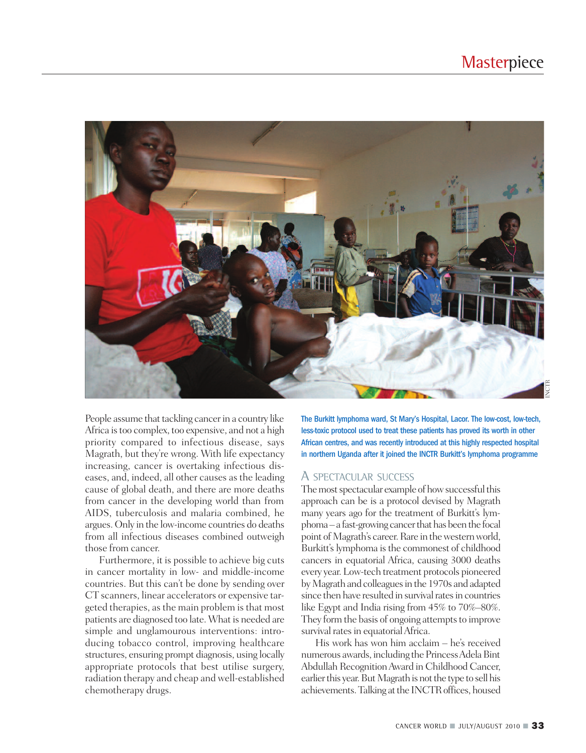

People assume that tackling cancer in a country like Africa is too complex, too expensive, and not a high priority compared to infectious disease, says Magrath, but they're wrong. With life expectancy increasing, cancer is overtaking infectious diseases, and, indeed, all other causes as the leading cause of global death, and there are more deaths from cancer in the developing world than from AIDS, tuberculosis and malaria combined, he argues. Only in the low-income countries do deaths from all infectious diseases combined outweigh those from cancer.

Furthermore, it is possible to achieve big cuts in cancer mortality in low- and middle-income countries. But this can't be done by sending over CT scanners, linear accelerators or expensive targeted therapies, as the main problem is that most patients are diagnosed too late. What is needed are simple and unglamourous interventions: introducing tobacco control, improving healthcare structures, ensuring prompt diagnosis, using locally appropriate protocols that best utilise surgery, radiation therapy and cheap and well-established chemotherapy drugs.

The Burkitt lymphoma ward, St Mary's Hospital, Lacor. The low-cost, low-tech, less-toxic protocol used to treat these patients has proved its worth in other African centres, and was recently introduced at this highly respected hospital in northern Uganda after it joined the INCTR Burkitt's lymphoma programme

#### A SPECTACULAR SUCCESS

The most spectacular example of how successful this approach can be is a protocol devised by Magrath many years ago for the treatment of Burkitt's lymphoma – a fast-growing cancer that has been the focal point of Magrath's career. Rare in the western world, Burkitt's lymphoma is the commonest of childhood cancers in equatorial Africa, causing 3000 deaths every year. Low-tech treatment protocols pioneered by Magrath and colleagues in the 1970s and adapted since then have resulted in survival rates in countries like Egypt and India rising from 45% to 70%–80%. They form the basis of ongoing attempts to improve survival rates in equatorial Africa.

His work has won him acclaim – he's received numerous awards, including the Princess Adela Bint Abdullah RecognitionAward in Childhood Cancer, earlier this year. But Magrath is not the type to sell his achievements. Talking at the INCTR offices, housed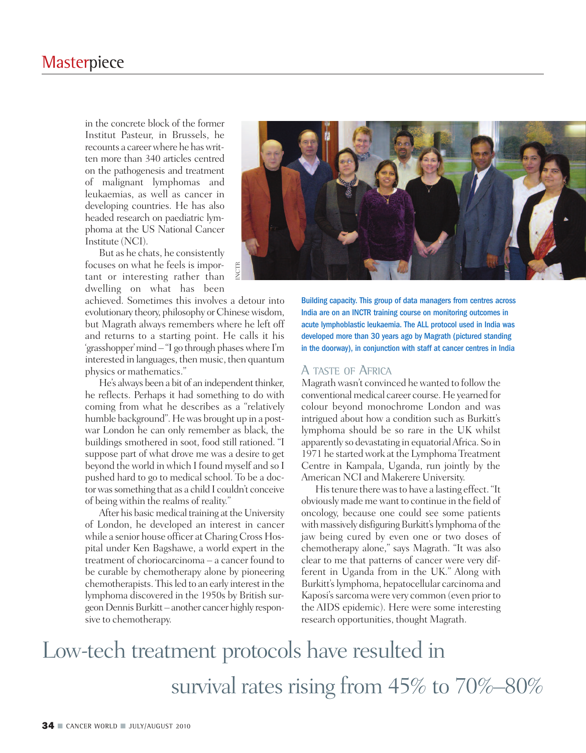in the concrete block of the former Institut Pasteur, in Brussels, he recounts a careerwhere he haswritten more than 340 articles centred on the pathogenesis and treatment of malignant lymphomas and leukaemias, as well as cancer in developing countries. He has also headed research on paediatric lymphoma at the US National Cancer Institute (NCI).

But as he chats, he consistently focuses on what he feels is important or interesting rather than dwelling on what has been

achieved. Sometimes this involves a detour into evolutionary theory, philosophy or Chinesewisdom, but Magrath always remembers where he left off and returns to a starting point. He calls it his 'grasshopper'mind – "I go through phaseswhere I'm interested in languages, then music, then quantum physics or mathematics."

He's always been a bit of an independent thinker, he reflects. Perhaps it had something to do with coming from what he describes as a "relatively humble background". He was brought up in a postwar London he can only remember as black, the buildings smothered in soot, food still rationed. "I suppose part of what drove me was a desire to get beyond the world in which I found myself and so I pushed hard to go to medical school. To be a doctorwassomething that as a child I couldn't conceive of being within the realms of reality."

After his basic medical training at the University of London, he developed an interest in cancer while a senior house officer at Charing Cross Hospital under Ken Bagshawe, a world expert in the treatment of choriocarcinoma – a cancer found to be curable by chemotherapy alone by pioneering chemotherapists. This led to an early interest in the lymphoma discovered in the 1950s by British surgeon Dennis Burkitt – another cancer highly responsive to chemotherapy.



Building capacity. This group of data managers from centres across India are on an INCTR training course on monitoring outcomes in acute lymphoblastic leukaemia. The ALL protocol used in India was developed more than 30 years ago by Magrath (pictured standing in the doorway), in conjunction with staff at cancer centres in India

#### A TASTE OF AFRICA

Magrath wasn't convinced he wanted to follow the conventionalmedical career course.He yearned for colour beyond monochrome London and was intrigued about how a condition such as Burkitt's lymphoma should be so rare in the UK whilst apparently so devastating in equatorialAfrica. So in 1971 he startedwork at the Lymphoma Treatment Centre in Kampala, Uganda, run jointly by the American NCI and Makerere University.

His tenure there was to have a lasting effect. "It obviously made mewant to continue in the field of oncology, because one could see some patients with massively disfiguring Burkitt's lymphoma of the jaw being cured by even one or two doses of chemotherapy alone," says Magrath. "It was also clear to me that patterns of cancer were very different in Uganda from in the UK." Along with Burkitt's lymphoma, hepatocellular carcinoma and Kaposi's sarcoma were very common (even prior to the AIDS epidemic). Here were some interesting research opportunities, thought Magrath.

### Low-tech treatment protocols have resulted in survival rates rising from 45% to 70%–80%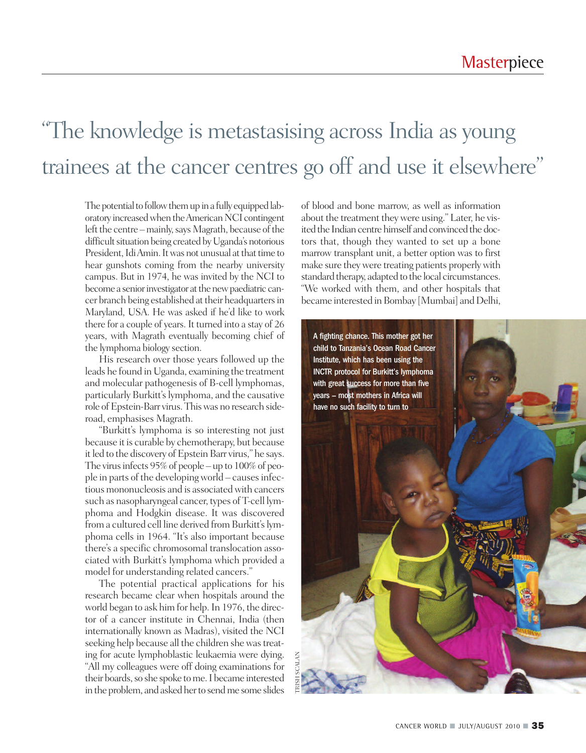### "The knowledge is metastasising across India as young trainees at the cancer centres go off and use it elsewhere"

The potential to follow them up in a fully equipped laboratory increased when the American NCI contingent left the centre – mainly, says Magrath, because of the difficult situation being created by Uganda's notorious President, Idi Amin. It was not unusual at that time to hear gunshots coming from the nearby university campus. But in 1974, he was invited by the NCI to become a senior investigator at the new paediatric cancer branch being established at their headquarters in Maryland, USA. He was asked if he'd like to work there for a couple of years. It turned into a stay of 26 years, with Magrath eventually becoming chief of the lymphoma biology section.

His research over those years followed up the leads he found in Uganda, examining the treatment and molecular pathogenesis of B-cell lymphomas, particularly Burkitt's lymphoma, and the causative role of Epstein-Barr virus. This was no research sideroad, emphasises Magrath.

"Burkitt's lymphoma is so interesting not just because it is curable by chemotherapy, but because it led to the discovery of Epstein Barr virus," he says. The virus infects 95% of people – up to 100% of people in parts of the developing world – causes infectious mononucleosis and is associated with cancers such as nasopharyngeal cancer, types of T-cell lymphoma and Hodgkin disease. It was discovered from a cultured cell line derived from Burkitt's lymphoma cells in 1964. "It's also important because there's a specific chromosomal translocation associated with Burkitt's lymphoma which provided a model for understanding related cancers."

The potential practical applications for his research became clear when hospitals around the world began to ask him for help.In 1976, the director of a cancer institute in Chennai, India (then internationally known as Madras), visited the NCI seeking help because all the children she was treating for acute lymphoblastic leukaemia were dying. "All my colleagues were off doing examinations for their boards, so she spoke to me. I became interested in the problem, and asked her to send me some slides of blood and bone marrow, as well as information about the treatment they were using." Later, he visited the Indian centre himself and convinced the doctors that, though they wanted to set up a bone marrow transplant unit, a better option was to first make sure theywere treating patients properlywith standard therapy, adapted to the local circumstances. "We worked with them, and other hospitals that became interested in Bombay [Mumbai] and Delhi,

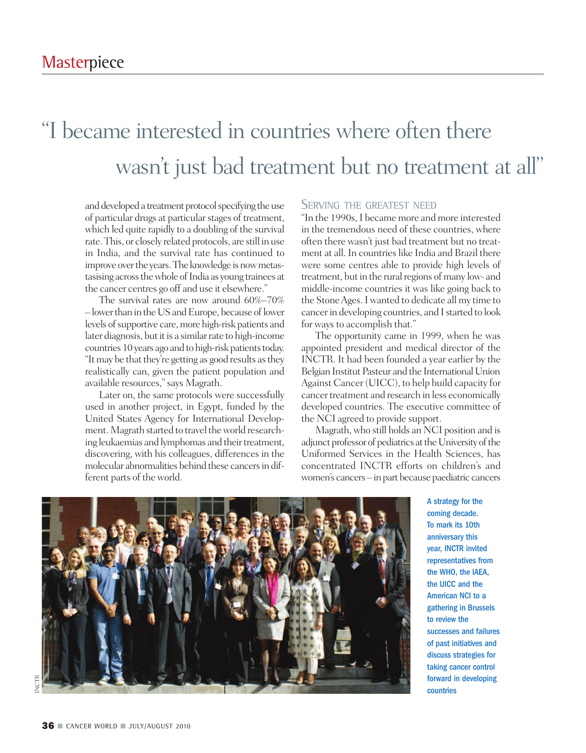### "I became interested in countries where often there wasn 't just bad treatment but no treatment at all"

and developed a treatment protocol specifying the use of particular drugs at particular stages of treatment, which led quite rapidly to a doubling of the survival rate.This, or closely related protocols, are still in use in India, and the survival rate has continued to improve over the years. The knowledge is now metastasising across the whole of India as young trainees at the cancer centres go off and use it elsewhere."

The survival rates are now around 60%–70% – lowerthan in theUSandEurope, because oflower levels of supportive care, more high-risk patients and later diagnosis, but it is a similar rate to high-income countries 10 years ago and to high-risk patients today. "It may be that they're getting as good results as they realistically can, given the patient population and available resources,"says Magrath.

Later on, the same protocols were successfully used in another project, in Egypt, funded by the United States Agency for International Development. Magrath started to travel the world researching leukaemias and lymphomas and their treatment, discovering, with his colleagues, differences in the molecular abnormalities behind these cancersin different parts of the world.

#### SERVING THE GREATEST NEED

"In the 1990s,I became more and more interested in the tremendous need of these countries, where often there wasn't just bad treatment but no treatment at all. In countries like India and Brazil there were some centres able to provide high levels of treatment, but in the rural regions of many low- and middle-income countries it was like going back to the StoneAges.Iwanted to dedicate all my time to cancer in developing countries, and I started to look for ways to accomplish that."

The opportunity came in 1999, when he was appointed president and medical director of the INCTR. It had been founded a year earlier by the Belgian Institut Pasteur and the International Union Against Cancer (UICC), to help build capacity for cancertreatment and research in less economically developed countries. The executive committee of the NCI agreed to provide support.

Magrath, who still holds an NCI position and is adjunct professor of pediatrics at the University of the Uniformed Services in the Health Sciences, has concentrated INCTR efforts on children's and women's cancers – in part because paediatric cancers



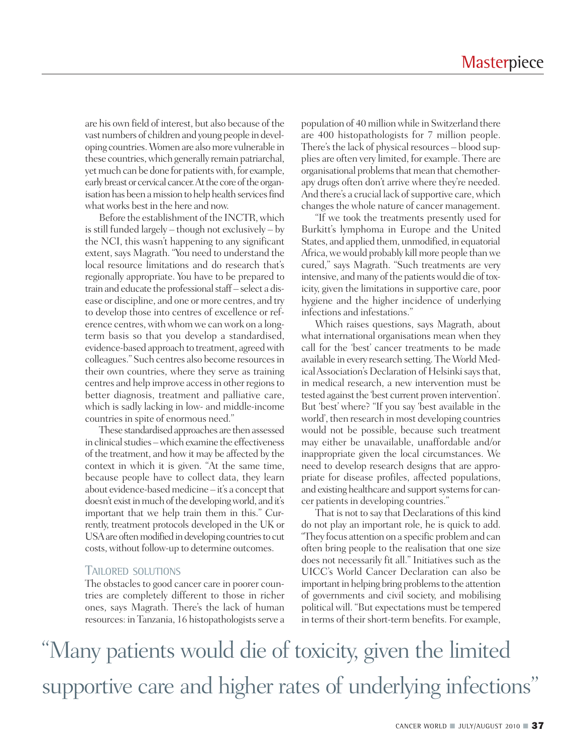are his own field of interest, but also because of the vast numbers of children and young people in developing countries.Women are alsomore vulnerable in these countries,which generally remain patriarchal, yet much can be done for patients with, for example, early breast or cervical cancer. At the core of the organisation has been a mission to help health services find what works best in the here and now.

Before the establishment of the INCTR, which is still funded largely – though not exclusively – by the NCI, this wasn't happening to any significant extent, says Magrath. "You need to understand the local resource limitations and do research that's regionally appropriate. You have to be prepared to train and educate the professional staff – select a disease or discipline, and one or more centres, and try to develop those into centres of excellence or reference centres, with whom we can work on a longterm basis so that you develop a standardised, evidence-based approach to treatment, agreed with colleagues." Such centres also become resourcesin their own countries, where they serve as training centres and help improve accessin otherregionsto better diagnosis, treatment and palliative care, which is sadly lacking in low- and middle-income countries in spite of enormous need."

These standardised approaches are then assessed in clinical studies – which examine the effectiveness of the treatment, and how it may be affected by the context in which it is given. "At the same time, because people have to collect data, they learn about evidence-based medicine  $-$  it's a concept that doesn't exist in much of the developing world, and it's important that we help train them in this." Currently, treatment protocols developed in the UK or USA are often modified in developing countries to cut costs,without follow-up to determine outcomes.

#### TAILORED SOLUTIONS

The obstacles to good cancer care in poorer countries are completely different to those in richer ones, says Magrath. There's the lack of human resources: in Tanzania, 16 histopathologists serve a

population of 40millionwhile in Switzerland there are 400 histopathologists for 7 million people. There's the lack of physical resources – blood supplies are often very limited, for example. There are organisational problems that mean that chemotherapy drugs often don't arrive where they're needed. And there's a crucial lack of supportive care, which changes the whole nature of cancer management.

"If we took the treatments presently used for Burkitt's lymphoma in Europe and the United States, and applied them, unmodified, in equatorial Africa, we would probably kill more people than we cured," says Magrath. "Such treatments are very intensive, and many of the patients would die of toxicity, given the limitations in supportive care, poor hygiene and the higher incidence of underlying infections and infestations."

Which raises questions, says Magrath, about what international organisations mean when they call for the 'best' cancer treatments to be made available in every research setting. The World Medical Association's Declaration of Helsinki says that, in medical research, a new intervention must be tested against the 'best current proven intervention'. But 'best' where? "If you say 'best available in the world', then research in most developing countries would not be possible, because such treatment may either be unavailable, unaffordable and/or inappropriate given the local circumstances. We need to develop research designs that are appropriate for disease profiles, affected populations, and existing healthcare and support systems for cancer patients in developing countries."

That is not to say that Declarations of this kind do not play an important role, he is quick to add. "They focus attention on a specific problemand can often bring people to the realisation that one size does not necessarily fit all." Initiatives such as the UICC's World Cancer Declaration can also be important in helping bring problems to the attention of governments and civil society, and mobilising political will. "But expectations must be tempered in terms of their short-term benefits. For example,

"Many patients would die of toxicity, given the limited supportive care and higher rates of underlying infections"